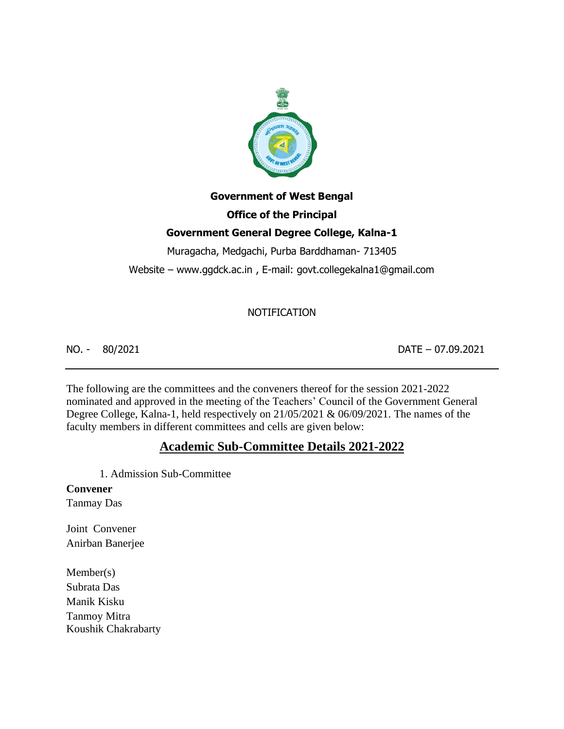

# **Government of West Bengal**

# **Office of the Principal**

# **Government General Degree College, Kalna-1**

Muragacha, Medgachi, Purba Barddhaman- 713405

Website – www.ggdck.ac.in , E-mail: govt.collegekalna1@gmail.com

# NOTIFICATION

NO. - 80/2021 DATE – 07.09.2021

The following are the committees and the conveners thereof for the session 2021-2022 nominated and approved in the meeting of the Teachers' Council of the Government General Degree College, Kalna-1, held respectively on 21/05/2021 & 06/09/2021. The names of the faculty members in different committees and cells are given below:

# **Academic Sub-Committee Details 2021-2022**

1. Admission Sub-Committee

## **Convener**

Tanmay Das

Joint Convener Anirban Banerjee

Member(s) Subrata Das Manik Kisku Tanmoy Mitra Koushik Chakrabarty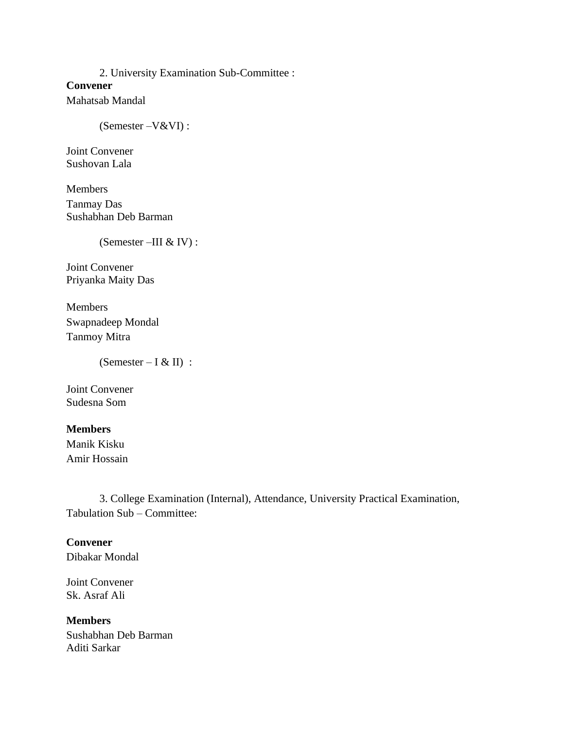2. University Examination Sub-Committee : **Convener** Mahatsab Mandal

(Semester –V&VI) :

Joint Convener Sushovan Lala

Members Tanmay Das Sushabhan Deb Barman

(Semester –III & IV) :

Joint Convener Priyanka Maity Das

Members Swapnadeep Mondal Tanmoy Mitra

(Semester – I & II) :

Joint Convener Sudesna Som

**Members** 

Manik Kisku Amir Hossain

3. College Examination (Internal), Attendance, University Practical Examination, Tabulation Sub – Committee:

**Convener**  Dibakar Mondal

Joint Convener Sk. Asraf Ali

**Members**  Sushabhan Deb Barman Aditi Sarkar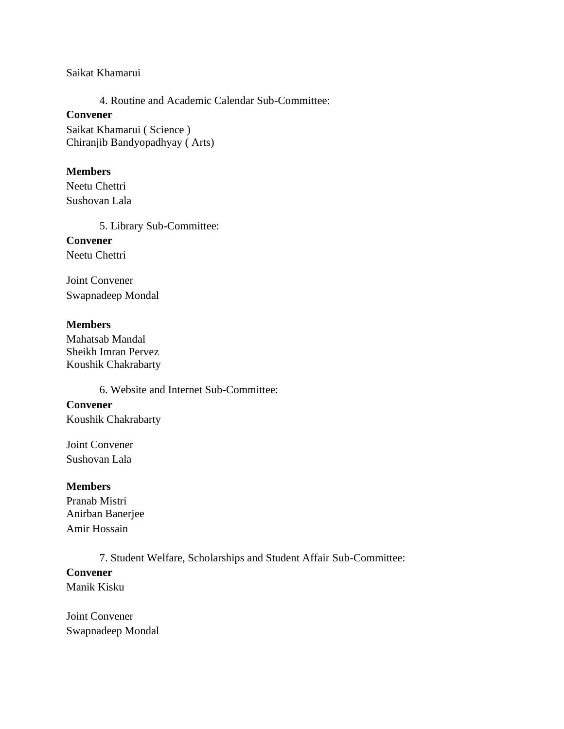Saikat Khamarui

4. Routine and Academic Calendar Sub-Committee:

#### **Convener**

Saikat Khamarui ( Science ) Chiranjib Bandyopadhyay ( Arts)

#### **Members**

Neetu Chettri Sushovan Lala

5. Library Sub-Committee:

**Convener**  Neetu Chettri

Joint Convener Swapnadeep Mondal

#### **Members**

Mahatsab Mandal Sheikh Imran Pervez Koushik Chakrabarty

6. Website and Internet Sub-Committee:

#### **Convener**

Koushik Chakrabarty

Joint Convener Sushovan Lala

#### **Members**

Pranab Mistri Anirban Banerjee Amir Hossain

7. Student Welfare, Scholarships and Student Affair Sub-Committee:

#### **Convener**

Manik Kisku

Joint Convener Swapnadeep Mondal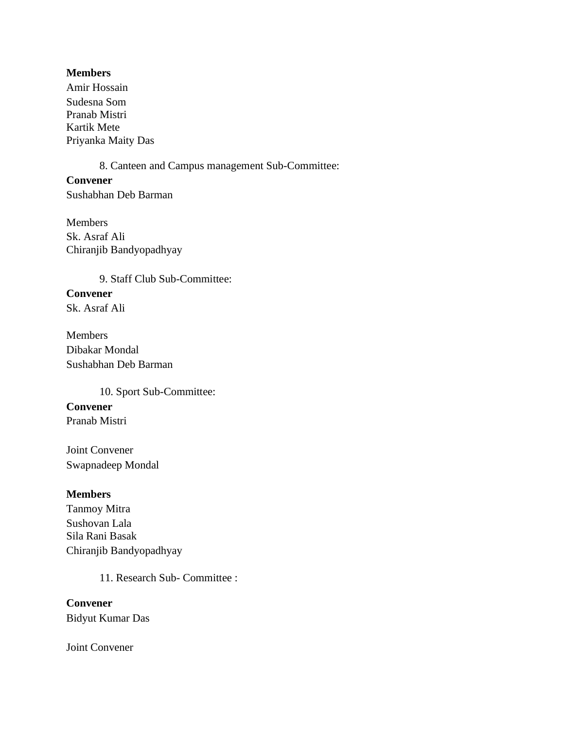#### **Members**

Amir Hossain Sudesna Som Pranab Mistri Kartik Mete Priyanka Maity Das

8. Canteen and Campus management Sub-Committee:

**Convener**  Sushabhan Deb Barman

Members Sk. Asraf Ali Chiranjib Bandyopadhyay

9. Staff Club Sub-Committee: **Convener**  Sk. Asraf Ali

Members Dibakar Mondal Sushabhan Deb Barman

10. Sport Sub-Committee: **Convener**  Pranab Mistri

Joint Convener Swapnadeep Mondal

## **Members**

Tanmoy Mitra Sushovan Lala Sila Rani Basak Chiranjib Bandyopadhyay

11. Research Sub- Committee :

**Convener**  Bidyut Kumar Das

Joint Convener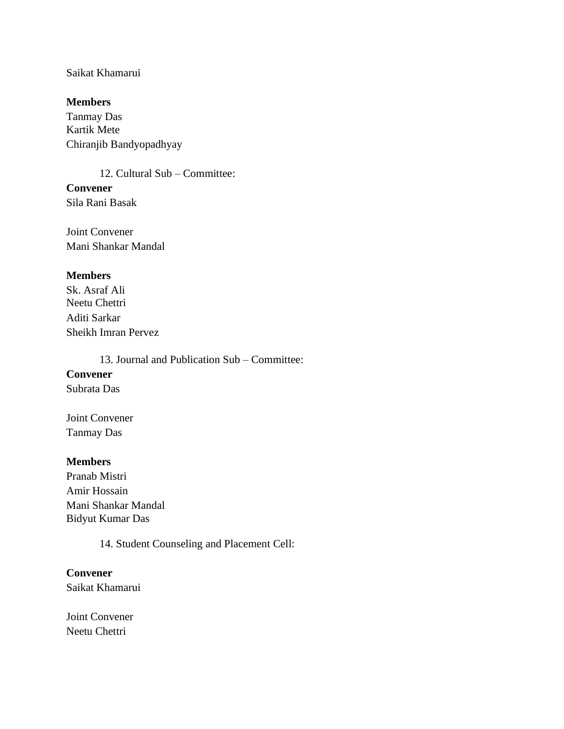#### Saikat Khamarui

#### **Members**

Tanmay Das Kartik Mete Chiranjib Bandyopadhyay

12. Cultural Sub – Committee: **Convener** 

Sila Rani Basak

Joint Convener Mani Shankar Mandal

#### **Members**

Sk. Asraf Ali Neetu Chettri Aditi Sarkar Sheikh Imran Pervez

13. Journal and Publication Sub – Committee:

# **Convener**

Subrata Das

Joint Convener Tanmay Das

#### **Members**

Pranab Mistri Amir Hossain Mani Shankar Mandal Bidyut Kumar Das

14. Student Counseling and Placement Cell:

#### **Convener**

Saikat Khamarui

Joint Convener Neetu Chettri